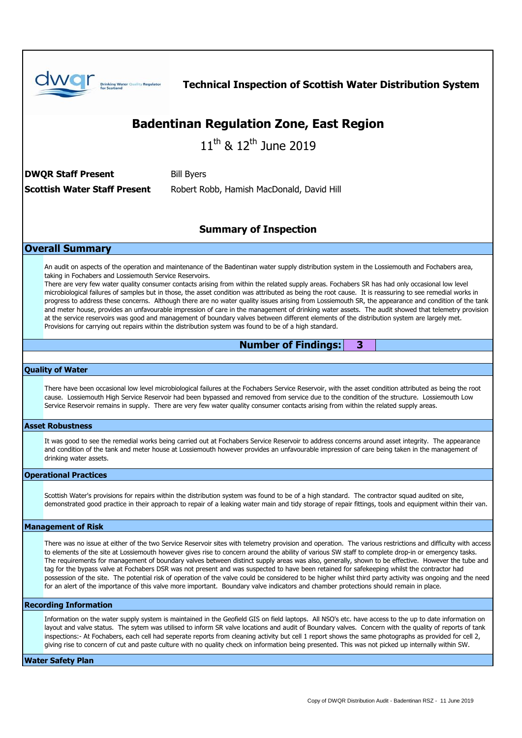| <b>Drinking Water Quality Regulator</b><br><b>Technical Inspection of Scottish Water Distribution System</b>                                                                                                                                                                                                                                                                                                                                                                                                                                                                                                                                                                                                                                                                                                                                                                                                                                                                                                                                                                                   |
|------------------------------------------------------------------------------------------------------------------------------------------------------------------------------------------------------------------------------------------------------------------------------------------------------------------------------------------------------------------------------------------------------------------------------------------------------------------------------------------------------------------------------------------------------------------------------------------------------------------------------------------------------------------------------------------------------------------------------------------------------------------------------------------------------------------------------------------------------------------------------------------------------------------------------------------------------------------------------------------------------------------------------------------------------------------------------------------------|
| <b>Badentinan Regulation Zone, East Region</b>                                                                                                                                                                                                                                                                                                                                                                                                                                                                                                                                                                                                                                                                                                                                                                                                                                                                                                                                                                                                                                                 |
| $11^{\text{th}}$ & $12^{\text{th}}$ June 2019                                                                                                                                                                                                                                                                                                                                                                                                                                                                                                                                                                                                                                                                                                                                                                                                                                                                                                                                                                                                                                                  |
|                                                                                                                                                                                                                                                                                                                                                                                                                                                                                                                                                                                                                                                                                                                                                                                                                                                                                                                                                                                                                                                                                                |
| <b>DWQR Staff Present</b><br><b>Bill Byers</b>                                                                                                                                                                                                                                                                                                                                                                                                                                                                                                                                                                                                                                                                                                                                                                                                                                                                                                                                                                                                                                                 |
| <b>Scottish Water Staff Present</b><br>Robert Robb, Hamish MacDonald, David Hill                                                                                                                                                                                                                                                                                                                                                                                                                                                                                                                                                                                                                                                                                                                                                                                                                                                                                                                                                                                                               |
|                                                                                                                                                                                                                                                                                                                                                                                                                                                                                                                                                                                                                                                                                                                                                                                                                                                                                                                                                                                                                                                                                                |
| <b>Summary of Inspection</b>                                                                                                                                                                                                                                                                                                                                                                                                                                                                                                                                                                                                                                                                                                                                                                                                                                                                                                                                                                                                                                                                   |
| <b>Overall Summary</b>                                                                                                                                                                                                                                                                                                                                                                                                                                                                                                                                                                                                                                                                                                                                                                                                                                                                                                                                                                                                                                                                         |
| An audit on aspects of the operation and maintenance of the Badentinan water supply distribution system in the Lossiemouth and Fochabers area,<br>taking in Fochabers and Lossiemouth Service Reservoirs.<br>There are very few water quality consumer contacts arising from within the related supply areas. Fochabers SR has had only occasional low level<br>microbiological failures of samples but in those, the asset condition was attributed as being the root cause. It is reassuring to see remedial works in<br>progress to address these concerns. Although there are no water quality issues arising from Lossiemouth SR, the appearance and condition of the tank<br>and meter house, provides an unfavourable impression of care in the management of drinking water assets. The audit showed that telemetry provision<br>at the service reservoirs was good and management of boundary valves between different elements of the distribution system are largely met.<br>Provisions for carrying out repairs within the distribution system was found to be of a high standard. |
| <b>Number of Findings:</b><br>3                                                                                                                                                                                                                                                                                                                                                                                                                                                                                                                                                                                                                                                                                                                                                                                                                                                                                                                                                                                                                                                                |
|                                                                                                                                                                                                                                                                                                                                                                                                                                                                                                                                                                                                                                                                                                                                                                                                                                                                                                                                                                                                                                                                                                |
| <b>Quality of Water</b><br>There have been occasional low level microbiological failures at the Fochabers Service Reservoir, with the asset condition attributed as being the root<br>cause. Lossiemouth High Service Reservoir had been bypassed and removed from service due to the condition of the structure. Lossiemouth Low<br>Service Reservoir remains in supply. There are very few water quality consumer contacts arising from within the related supply areas.                                                                                                                                                                                                                                                                                                                                                                                                                                                                                                                                                                                                                     |
| <b>Asset Robustness</b>                                                                                                                                                                                                                                                                                                                                                                                                                                                                                                                                                                                                                                                                                                                                                                                                                                                                                                                                                                                                                                                                        |
| It was good to see the remedial works being carried out at Fochabers Service Reservoir to address concerns around asset integrity. The appearance<br>and condition of the tank and meter house at Lossiemouth however provides an unfavourable impression of care being taken in the management of<br>drinking water assets.                                                                                                                                                                                                                                                                                                                                                                                                                                                                                                                                                                                                                                                                                                                                                                   |
| <b>Operational Practices</b>                                                                                                                                                                                                                                                                                                                                                                                                                                                                                                                                                                                                                                                                                                                                                                                                                                                                                                                                                                                                                                                                   |
| Scottish Water's provisions for repairs within the distribution system was found to be of a high standard. The contractor squad audited on site,<br>demonstrated good practice in their approach to repair of a leaking water main and tidy storage of repair fittings, tools and equipment within their van.                                                                                                                                                                                                                                                                                                                                                                                                                                                                                                                                                                                                                                                                                                                                                                                  |
| <b>Management of Risk</b>                                                                                                                                                                                                                                                                                                                                                                                                                                                                                                                                                                                                                                                                                                                                                                                                                                                                                                                                                                                                                                                                      |
| There was no issue at either of the two Service Reservoir sites with telemetry provision and operation. The various restrictions and difficulty with access<br>to elements of the site at Lossiemouth however gives rise to concern around the ability of various SW staff to complete drop-in or emergency tasks.<br>The requirements for management of boundary valves between distinct supply areas was also, generally, shown to be effective. However the tube and<br>tag for the bypass valve at Fochabers DSR was not present and was suspected to have been retained for safekeeping whilst the contractor had<br>possession of the site. The potential risk of operation of the valve could be considered to be higher whilst third party activity was ongoing and the need<br>for an alert of the importance of this valve more important. Boundary valve indicators and chamber protections should remain in place.                                                                                                                                                                 |
| <b>Recording Information</b>                                                                                                                                                                                                                                                                                                                                                                                                                                                                                                                                                                                                                                                                                                                                                                                                                                                                                                                                                                                                                                                                   |
| Information on the water supply system is maintained in the Geofield GIS on field laptops. All NSO's etc. have access to the up to date information on<br>layout and valve status. The sytem was utilised to inform SR valve locations and audit of Boundary valves. Concern with the quality of reports of tank<br>inspections:- At Fochabers, each cell had seperate reports from cleaning activity but cell 1 report shows the same photographs as provided for cell 2,<br>giving rise to concern of cut and paste culture with no quality check on information being presented. This was not picked up internally within SW.                                                                                                                                                                                                                                                                                                                                                                                                                                                               |
| <b>Water Safety Plan</b>                                                                                                                                                                                                                                                                                                                                                                                                                                                                                                                                                                                                                                                                                                                                                                                                                                                                                                                                                                                                                                                                       |
|                                                                                                                                                                                                                                                                                                                                                                                                                                                                                                                                                                                                                                                                                                                                                                                                                                                                                                                                                                                                                                                                                                |